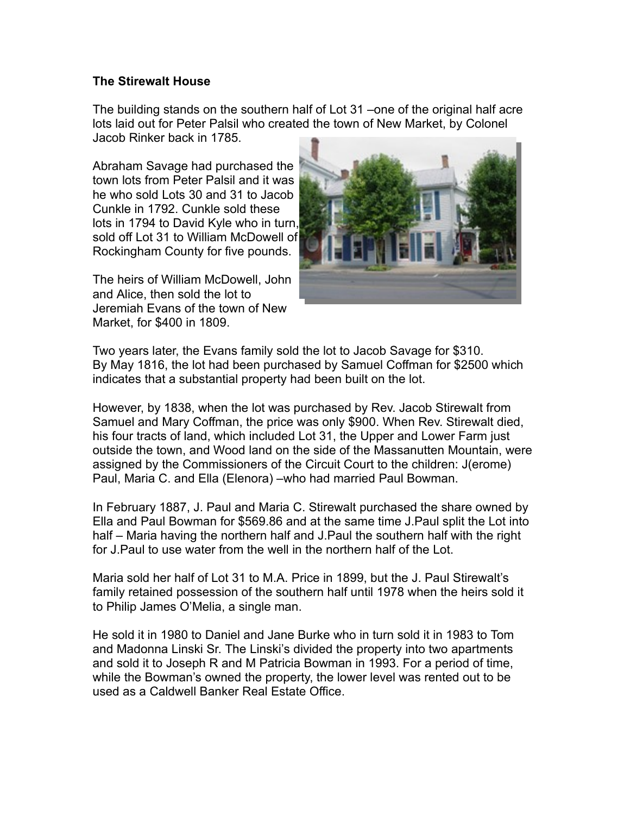## **The Stirewalt House**

The building stands on the southern half of Lot 31 –one of the original half acre lots laid out for Peter Palsil who created the town of New Market, by Colonel Jacob Rinker back in 1785.

Abraham Savage had purchased the town lots from Peter Palsil and it was he who sold Lots 30 and 31 to Jacob Cunkle in 1792. Cunkle sold these lots in 1794 to David Kyle who in turn, sold off Lot 31 to William McDowell of Rockingham County for five pounds.

The heirs of William McDowell, John and Alice, then sold the lot to Jeremiah Evans of the town of New Market, for \$400 in 1809.



Two years later, the Evans family sold the lot to Jacob Savage for \$310. By May 1816, the lot had been purchased by Samuel Coffman for \$2500 which indicates that a substantial property had been built on the lot.

However, by 1838, when the lot was purchased by Rev. Jacob Stirewalt from Samuel and Mary Coffman, the price was only \$900. When Rev. Stirewalt died, his four tracts of land, which included Lot 31, the Upper and Lower Farm just outside the town, and Wood land on the side of the Massanutten Mountain, were assigned by the Commissioners of the Circuit Court to the children: J(erome) Paul, Maria C. and Ella (Elenora) –who had married Paul Bowman.

In February 1887, J. Paul and Maria C. Stirewalt purchased the share owned by Ella and Paul Bowman for \$569.86 and at the same time J.Paul split the Lot into half – Maria having the northern half and J.Paul the southern half with the right for J.Paul to use water from the well in the northern half of the Lot.

Maria sold her half of Lot 31 to M.A. Price in 1899, but the J. Paul Stirewalt's family retained possession of the southern half until 1978 when the heirs sold it to Philip James O'Melia, a single man.

He sold it in 1980 to Daniel and Jane Burke who in turn sold it in 1983 to Tom and Madonna Linski Sr. The Linski's divided the property into two apartments and sold it to Joseph R and M Patricia Bowman in 1993. For a period of time, while the Bowman's owned the property, the lower level was rented out to be used as a Caldwell Banker Real Estate Office.